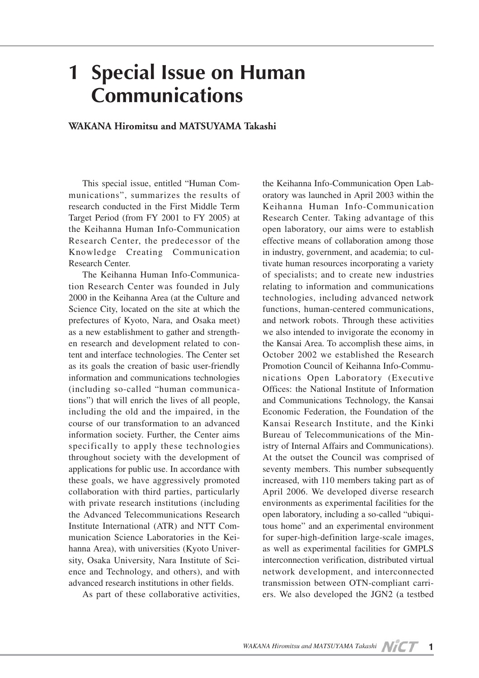## **1 Special Issue on Human Communications**

## **WAKANA Hiromitsu and MATSUYAMA Takashi**

This special issue, entitled "Human Communications", summarizes the results of research conducted in the First Middle Term Target Period (from FY 2001 to FY 2005) at the Keihanna Human Info-Communication Research Center, the predecessor of the Knowledge Creating Communication Research Center.

The Keihanna Human Info-Communication Research Center was founded in July 2000 in the Keihanna Area (at the Culture and Science City, located on the site at which the prefectures of Kyoto, Nara, and Osaka meet) as a new establishment to gather and strengthen research and development related to content and interface technologies. The Center set as its goals the creation of basic user-friendly information and communications technologies (including so-called "human communications") that will enrich the lives of all people, including the old and the impaired, in the course of our transformation to an advanced information society. Further, the Center aims specifically to apply these technologies throughout society with the development of applications for public use. In accordance with these goals, we have aggressively promoted collaboration with third parties, particularly with private research institutions (including the Advanced Telecommunications Research Institute International (ATR) and NTT Communication Science Laboratories in the Keihanna Area), with universities (Kyoto University, Osaka University, Nara Institute of Science and Technology, and others), and with advanced research institutions in other fields.

As part of these collaborative activities,

the Keihanna Info-Communication Open Laboratory was launched in April 2003 within the Keihanna Human Info-Communication Research Center. Taking advantage of this open laboratory, our aims were to establish effective means of collaboration among those in industry, government, and academia; to cultivate human resources incorporating a variety of specialists; and to create new industries relating to information and communications technologies, including advanced network functions, human-centered communications, and network robots. Through these activities we also intended to invigorate the economy in the Kansai Area. To accomplish these aims, in October 2002 we established the Research Promotion Council of Keihanna Info-Communications Open Laboratory (Executive Offices: the National Institute of Information and Communications Technology, the Kansai Economic Federation, the Foundation of the Kansai Research Institute, and the Kinki Bureau of Telecommunications of the Ministry of Internal Affairs and Communications). At the outset the Council was comprised of seventy members. This number subsequently increased, with 110 members taking part as of April 2006. We developed diverse research environments as experimental facilities for the open laboratory, including a so-called "ubiquitous home" and an experimental environment for super-high-definition large-scale images, as well as experimental facilities for GMPLS interconnection verification, distributed virtual network development, and interconnected transmission between OTN-compliant carriers. We also developed the JGN2 (a testbed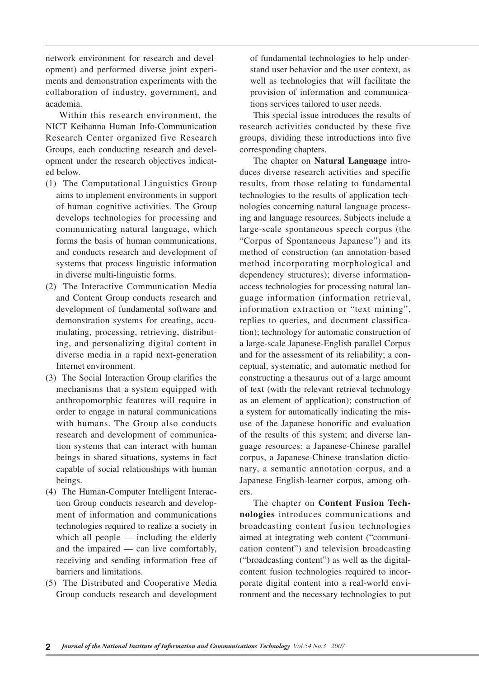network environment for research and development) and performed diverse joint experiments and demonstration experiments with the collaboration of industry, government, and academia.

Within this research environment, the NICT Keihanna Human Info-Communication Research Center organized five Research Groups, each conducting research and development under the research objectives indicated below.

- (1) The Computational Linguistics Group aims to implement environments in support of human cognitive activities. The Group develops technologies for processing and communicating natural language, which forms the basis of human communications, and conducts research and development of systems that process linguistic information in diverse multi-linguistic forms.
- (2) The Interactive Communication Media and Content Group conducts research and development of fundamental software and demonstration systems for creating, accumulating, processing, retrieving, distributing, and personalizing digital content in diverse media in a rapid next-generation Internet environment.
- (3) The Social Interaction Group clarifies the mechanisms that a system equipped with anthropomorphic features will require in order to engage in natural communications with humans. The Group also conducts research and development of communication systems that can interact with human beings in shared situations, systems in fact capable of social relationships with human beings.
- (4) The Human-Computer Intelligent Interaction Group conducts research and development of information and communications technologies required to realize a society in which all people — including the elderly and the impaired — can live comfortably, receiving and sending information free of barriers and limitations.
- (5) The Distributed and Cooperative Media Group conducts research and development

of fundamental technologies to help understand user behavior and the user context, as well as technologies that will facilitate the provision of information and communications services tailored to user needs.

This special issue introduces the results of research activities conducted by these five groups, dividing these introductions into five corresponding chapters.

The chapter on **Natural Language** introduces diverse research activities and specific results, from those relating to fundamental technologies to the results of application technologies concerning natural language processing and language resources. Subjects include a large-scale spontaneous speech corpus (the "Corpus of Spontaneous Japanese") and its method of construction (an annotation-based method incorporating morphological and dependency structures); diverse informationaccess technologies for processing natural language information (information retrieval, information extraction or "text mining", replies to queries, and document classification); technology for automatic construction of a large-scale Japanese-English parallel Corpus and for the assessment of its reliability; a conceptual, systematic, and automatic method for constructing a thesaurus out of a large amount of text (with the relevant retrieval technology as an element of application); construction of a system for automatically indicating the misuse of the Japanese honorific and evaluation of the results of this system; and diverse language resources: a Japanese-Chinese parallel corpus, a Japanese-Chinese translation dictionary, a semantic annotation corpus, and a Japanese English-learner corpus, among others.

The chapter on **Content Fusion Technologies** introduces communications and broadcasting content fusion technologies aimed at integrating web content ("communication content") and television broadcasting ("broadcasting content") as well as the digitalcontent fusion technologies required to incorporate digital content into a real-world environment and the necessary technologies to put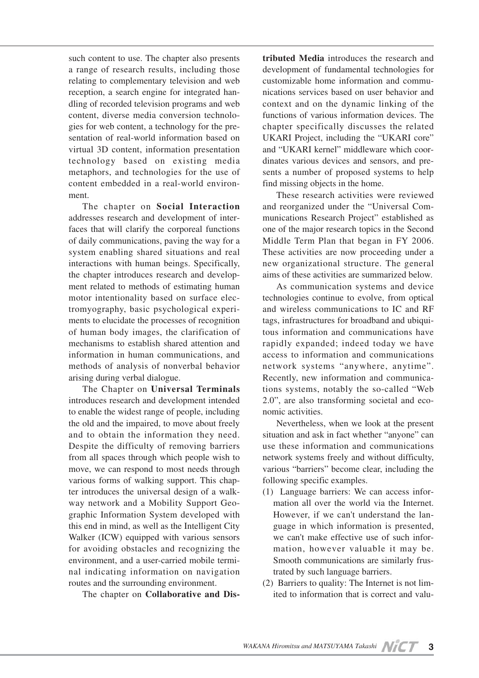such content to use. The chapter also presents a range of research results, including those relating to complementary television and web reception, a search engine for integrated handling of recorded television programs and web content, diverse media conversion technologies for web content, a technology for the presentation of real-world information based on virtual 3D content, information presentation technology based on existing media metaphors, and technologies for the use of content embedded in a real-world environment.

The chapter on **Social Interaction** addresses research and development of interfaces that will clarify the corporeal functions of daily communications, paving the way for a system enabling shared situations and real interactions with human beings. Specifically, the chapter introduces research and development related to methods of estimating human motor intentionality based on surface electromyography, basic psychological experiments to elucidate the processes of recognition of human body images, the clarification of mechanisms to establish shared attention and information in human communications, and methods of analysis of nonverbal behavior arising during verbal dialogue.

The Chapter on **Universal Terminals** introduces research and development intended to enable the widest range of people, including the old and the impaired, to move about freely and to obtain the information they need. Despite the difficulty of removing barriers from all spaces through which people wish to move, we can respond to most needs through various forms of walking support. This chapter introduces the universal design of a walkway network and a Mobility Support Geographic Information System developed with this end in mind, as well as the Intelligent City Walker (ICW) equipped with various sensors for avoiding obstacles and recognizing the environment, and a user-carried mobile terminal indicating information on navigation routes and the surrounding environment.

The chapter on **Collaborative and Dis-**

**tributed Media** introduces the research and development of fundamental technologies for customizable home information and communications services based on user behavior and context and on the dynamic linking of the functions of various information devices. The chapter specifically discusses the related UKARI Project, including the "UKARI core" and "UKARI kernel" middleware which coordinates various devices and sensors, and presents a number of proposed systems to help find missing objects in the home.

These research activities were reviewed and reorganized under the "Universal Communications Research Project" established as one of the major research topics in the Second Middle Term Plan that began in FY 2006. These activities are now proceeding under a new organizational structure. The general aims of these activities are summarized below.

As communication systems and device technologies continue to evolve, from optical and wireless communications to IC and RF tags, infrastructures for broadband and ubiquitous information and communications have rapidly expanded; indeed today we have access to information and communications network systems "anywhere, anytime". Recently, new information and communications systems, notably the so-called "Web 2.0", are also transforming societal and economic activities.

Nevertheless, when we look at the present situation and ask in fact whether "anyone" can use these information and communications network systems freely and without difficulty, various "barriers" become clear, including the following specific examples.

- (1) Language barriers: We can access information all over the world via the Internet. However, if we can't understand the language in which information is presented, we can't make effective use of such information, however valuable it may be. Smooth communications are similarly frustrated by such language barriers.
- (2) Barriers to quality: The Internet is not limited to information that is correct and valu-